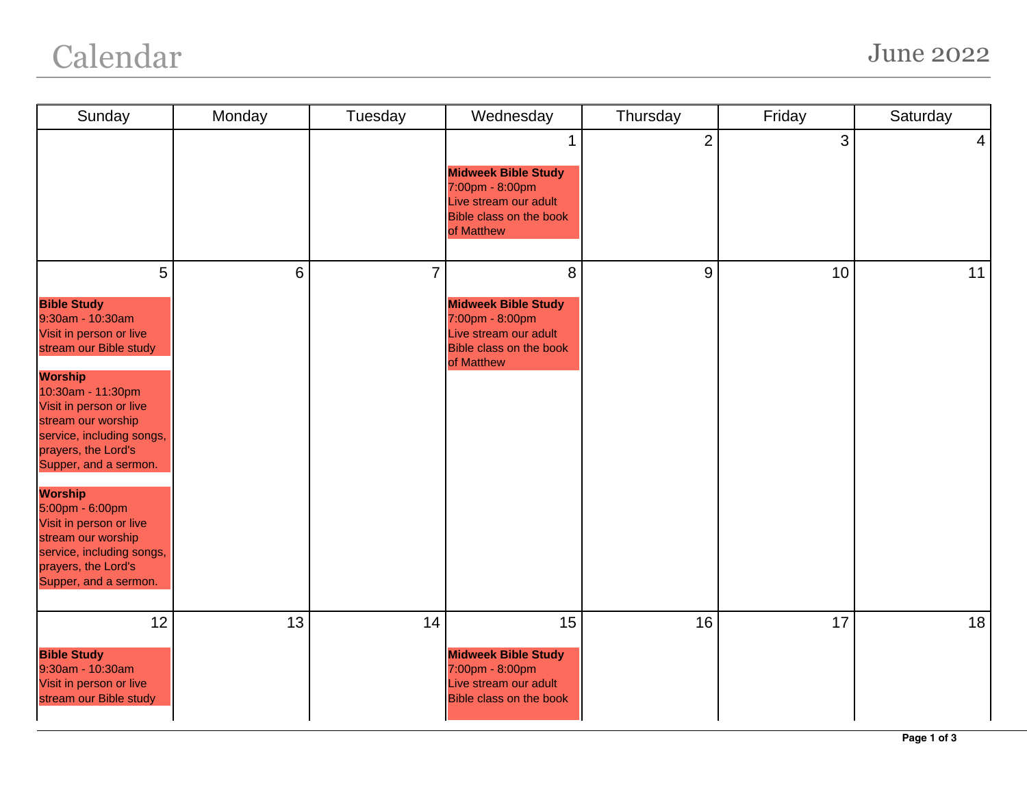| Sunday                                                                                                                                                                                                                                                                                                                                                                                                                                   | Monday | Tuesday | Wednesday                                                                                                            | Thursday       | Friday | Saturday       |
|------------------------------------------------------------------------------------------------------------------------------------------------------------------------------------------------------------------------------------------------------------------------------------------------------------------------------------------------------------------------------------------------------------------------------------------|--------|---------|----------------------------------------------------------------------------------------------------------------------|----------------|--------|----------------|
|                                                                                                                                                                                                                                                                                                                                                                                                                                          |        |         | 1<br><b>Midweek Bible Study</b><br>7:00pm - 8:00pm<br>Live stream our adult<br>Bible class on the book<br>of Matthew | $\overline{2}$ | 3      | $\overline{4}$ |
| 5<br><b>Bible Study</b><br>9:30am - 10:30am<br>Visit in person or live<br>stream our Bible study<br><b>Worship</b><br>10:30am - 11:30pm<br>Visit in person or live<br>stream our worship<br>service, including songs,<br>prayers, the Lord's<br>Supper, and a sermon.<br><b>Worship</b><br>5:00pm - 6:00pm<br>Visit in person or live<br>stream our worship<br>service, including songs,<br>prayers, the Lord's<br>Supper, and a sermon. | 6      | 7       | 8<br><b>Midweek Bible Study</b><br>7:00pm - 8:00pm<br>Live stream our adult<br>Bible class on the book<br>of Matthew | 9              | 10     | 11             |
| 12<br><b>Bible Study</b><br>9:30am - 10:30am<br>Visit in person or live<br>stream our Bible study                                                                                                                                                                                                                                                                                                                                        | 13     | 14      | 15<br><b>Midweek Bible Study</b><br>7:00pm - 8:00pm<br>Live stream our adult<br><b>Bible class on the book</b>       | 16             | 17     | 18             |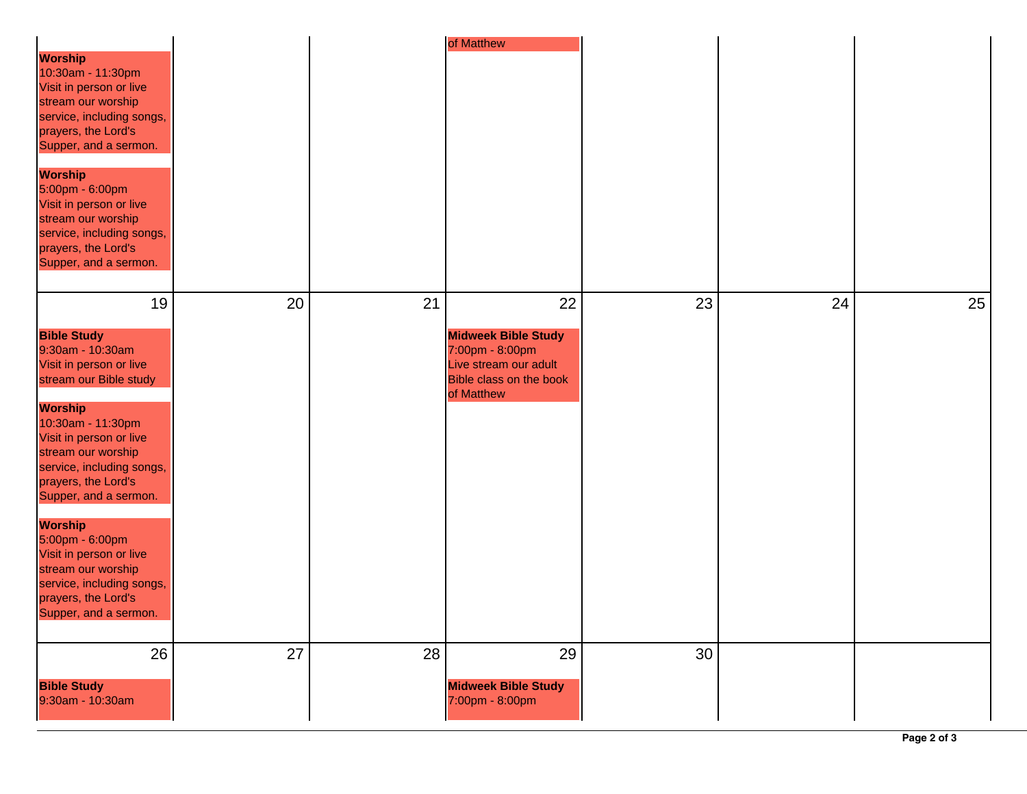|                                                                                                                                                                                                                                                                                                                                                                                                                                     |    |    | of Matthew                                                                                                             |    |    |    |
|-------------------------------------------------------------------------------------------------------------------------------------------------------------------------------------------------------------------------------------------------------------------------------------------------------------------------------------------------------------------------------------------------------------------------------------|----|----|------------------------------------------------------------------------------------------------------------------------|----|----|----|
| <b>Worship</b><br>10:30am - 11:30pm<br>Visit in person or live<br>stream our worship<br>service, including songs,<br>prayers, the Lord's<br>Supper, and a sermon.<br><b>Worship</b>                                                                                                                                                                                                                                                 |    |    |                                                                                                                        |    |    |    |
| 5:00pm - 6:00pm<br>Visit in person or live<br>stream our worship<br>service, including songs,<br>prayers, the Lord's<br>Supper, and a sermon.                                                                                                                                                                                                                                                                                       |    |    |                                                                                                                        |    |    |    |
| 19                                                                                                                                                                                                                                                                                                                                                                                                                                  | 20 | 21 | 22                                                                                                                     | 23 | 24 | 25 |
| <b>Bible Study</b><br>9:30am - 10:30am<br>Visit in person or live<br>stream our Bible study<br><b>Worship</b><br>10:30am - 11:30pm<br>Visit in person or live<br>stream our worship<br>service, including songs,<br>prayers, the Lord's<br>Supper, and a sermon.<br><b>Worship</b><br>5:00pm - 6:00pm<br>Visit in person or live<br>stream our worship<br>service, including songs,<br>prayers, the Lord's<br>Supper, and a sermon. |    |    | <b>Midweek Bible Study</b><br>7:00pm - 8:00pm<br>Live stream our adult<br><b>Bible class on the book</b><br>of Matthew |    |    |    |
| 26                                                                                                                                                                                                                                                                                                                                                                                                                                  | 27 | 28 | 29                                                                                                                     | 30 |    |    |
| <b>Bible Study</b><br>9:30am - 10:30am                                                                                                                                                                                                                                                                                                                                                                                              |    |    | <b>Midweek Bible Study</b><br>7:00pm - 8:00pm                                                                          |    |    |    |